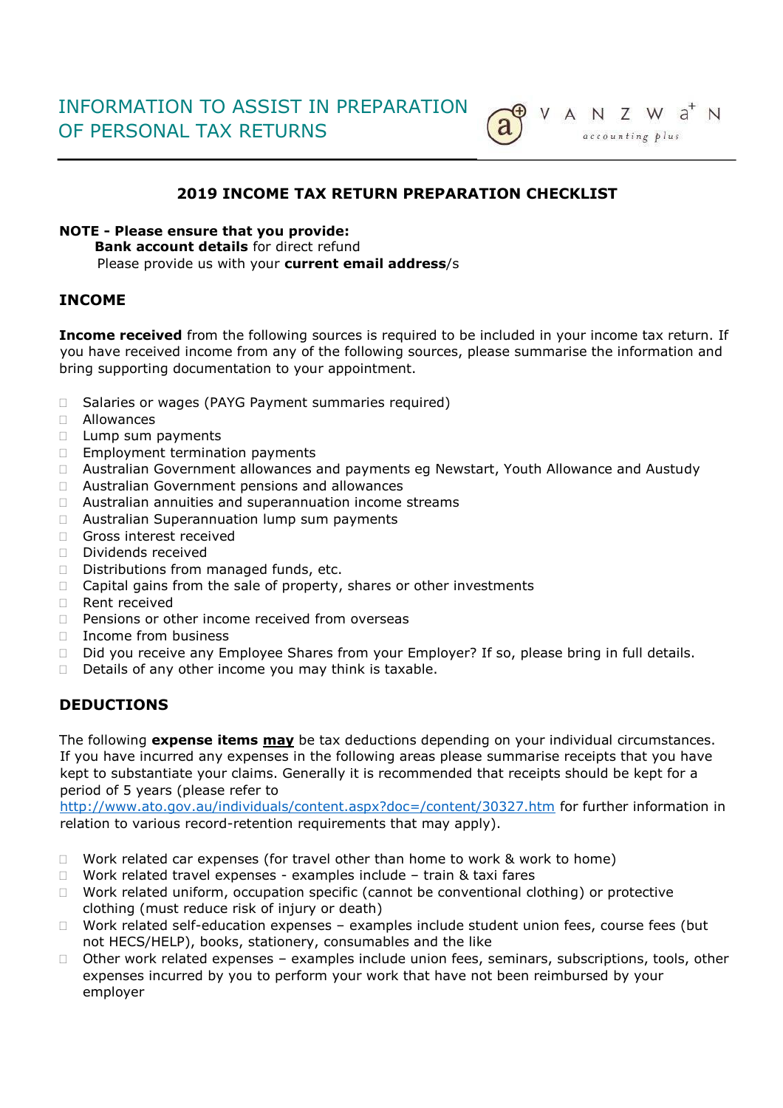

# **2019 INCOME TAX RETURN PREPARATION CHECKLIST**

#### **NOTE - Please ensure that you provide:**

**Bank account details** for direct refund Please provide us with your **current email address**/s

### **INCOME**

**Income received** from the following sources is required to be included in your income tax return. If you have received income from any of the following sources, please summarise the information and bring supporting documentation to your appointment.

- □ Salaries or wages (PAYG Payment summaries required)
- Allowances
- $\Box$  Lump sum payments
- **Employment termination payments**
- Australian Government allowances and payments eg Newstart, Youth Allowance and Austudy
- Australian Government pensions and allowances
- Australian annuities and superannuation income streams
- □ Australian Superannuation lump sum payments
- Gross interest received
- Dividends received
- Distributions from managed funds, etc.
- $\Box$  Capital gains from the sale of property, shares or other investments
- $\Box$  Rent received
- $\Box$  Pensions or other income received from overseas
- □ Income from business
- □ Did you receive any Employee Shares from your Employer? If so, please bring in full details.
- $\Box$  Details of any other income you may think is taxable.

# **DEDUCTIONS**

The following **expense items may** be tax deductions depending on your individual circumstances. If you have incurred any expenses in the following areas please summarise receipts that you have kept to substantiate your claims. Generally it is recommended that receipts should be kept for a period of 5 years (please refer to

<http://www.ato.gov.au/individuals/content.aspx?doc=/content/30327.htm> for further information in relation to various record-retention requirements that may apply).

- $\Box$  Work related car expenses (for travel other than home to work & work to home)
- $\Box$  Work related travel expenses examples include train & taxi fares
- Work related uniform, occupation specific (cannot be conventional clothing) or protective clothing (must reduce risk of injury or death)
- □ Work related self-education expenses examples include student union fees, course fees (but not HECS/HELP), books, stationery, consumables and the like
- Other work related expenses examples include union fees, seminars, subscriptions, tools, other expenses incurred by you to perform your work that have not been reimbursed by your employer